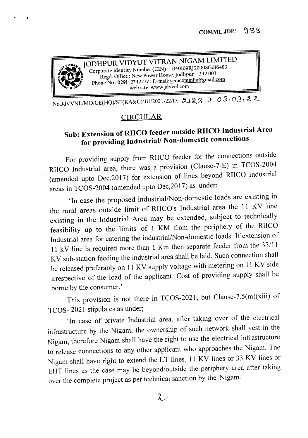

•

No.JdVVNL/MD/CE(HQ)/SE(RA&C)/JU/2021-22/D. 2123 Dt. 03.03.22

## **CIRCULAR**

## Sub: Extension of RIICO feeder outside RIICO Industrial Area for providing Industrial/ Non-domestic connections.

For providing supply from RIICO feeder for the connections outside RIICO Industrial area, there was a provision (Clause-7-E) in TCOS-2004 (amended upto Dec,2017) for extension of lines beyond RIICO Industrial areas in TCOS-2004 (amended upto Dec,2017) as under:

'In case the proposed industrial/Non-domestic loads are existing in the rural areas outside limit of RIICO's Industrial area the 11 KV line existing in the Industrial Area may be extended, subject to technically feasibility up to the limits of 1 KM from the periphery of the RIICO Industrial area for catering the industrial/Non-domestic loads. If extension of 11 kV line is required more than 1 Km then separate feeder from the 33111 KV sub-station feeding the industrial area shall be laid. Such connection shall be released preferably on 11 KV supply voltage with metering on 11 KV side irrespective of the load of the applicant. Cost of providing supply shall be borne by the consumer.'

This provision is not there in TCOS-2021, but Clause-7.5(m)(xiii) of TCOS- 2021 stipulates as under;

'In case of private Industrial area, after taking over of the electrical infrastructure by the Nigam, the ownership of such network shall vest in the Nigam, therefore Nigam shall have the right to use the electrical infrastructure to release connections to any other applicant who approaches the Nigam. The Nigam shall have right to extend the LT lines, 11 KV lines or 33 KV lines or EHT lines as the case may be beyond/outside the periphery area after taking over the complete project as per technical sanction by the Nigam.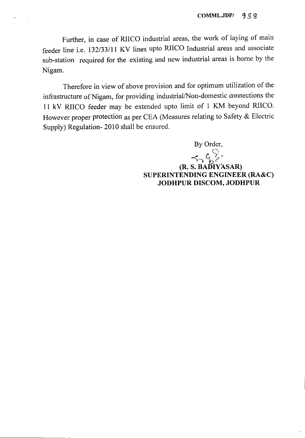Further, in case of RIICO industrial areas, the work of laying of main feeder line i.e. 132/33/11 KV lines upto RIICO Industrial areas and associate sub-station required for the existing and new industrial areas is borne by the Nigam.

Therefore in view of above provision and for optimum utilization of the infrastructure of Nigam, for providing industrial/Non-domestic connections the 11 kV RIICO feeder may be extended upto limit of 1 KM beyond RIICO. However proper protection as per CEA (Measures relating to Safety & Electric Supply) Regulation- 2010 shall be ensured.

> By Order,  $~~\leftarrow~$ (R. S. BADIYASAR) SUPERINTENDING ENGINEER (RA&C) JODHPUR DISCOM, JODHPUR